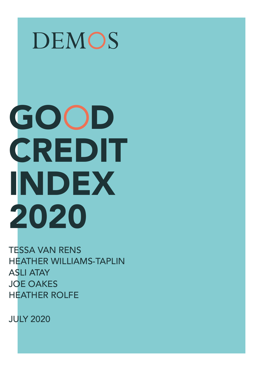# DEMOS GOOD CREDIT INDEX 2020

TESSA VAN RENS HEATHER WILLIAMS-TAPLIN ASLI ATAY JOE OAKES HEATHER ROLFE

JULY 2020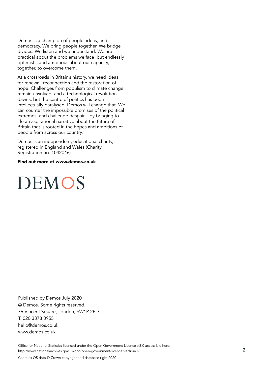Demos is a champion of people, ideas, and democracy. We bring people together. We bridge divides. We listen and we understand. We are practical about the problems we face, but endlessly optimistic and ambitious about our capacity, together, to overcome them.

At a crossroads in Britain's history, we need ideas for renewal, reconnection and the restoration of hope. Challenges from populism to climate change remain unsolved, and a technological revolution dawns, but the centre of politics has been intellectually paralysed. Demos will change that. We can counter the impossible promises of the political extremes, and challenge despair – by bringing to life an aspirational narrative about the future of Britain that is rooted in the hopes and ambitions of people from across our country.

Demos is an independent, educational charity, registered in England and Wales (Charity Registration no. 1042046).

#### Find out more at www.demos.co.uk

**DEMOS** 

Published by Demos July 2020 © Demos. Some rights reserved. 76 Vincent Square, London, SW1P 2PD T: 020 3878 3955 hello@demos.co.uk www.demos.co.uk

Office for National Statistics licensed under the Open Government Licence v.3.0 accessible here: http://www.nationalarchives.gov.uk/doc/open-government-licence/version/3/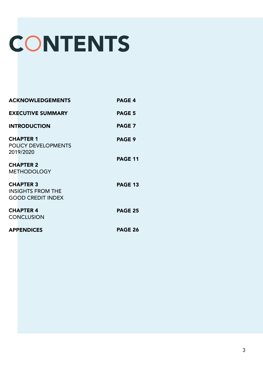# CONTENTS

| <b>ACKNOWLEDGEMENTS</b>                                                  | <b>PAGE 4</b>  |
|--------------------------------------------------------------------------|----------------|
| <b>EXECUTIVE SUMMARY</b>                                                 | <b>PAGE 5</b>  |
| <b>INTRODUCTION</b>                                                      | <b>PAGE 7</b>  |
| <b>CHAPTER 1</b><br><b>POLICY DEVELOPMENTS</b><br>2019/2020              | <b>PAGE 9</b>  |
| <b>CHAPTER 2</b><br><b>METHODOLOGY</b>                                   | <b>PAGE 11</b> |
| <b>CHAPTER 3</b><br><b>INSIGHTS FROM THE</b><br><b>GOOD CREDIT INDEX</b> | <b>PAGE 13</b> |
| <b>CHAPTER 4</b><br><b>CONCLUSION</b>                                    | <b>PAGE 25</b> |
| <b>APPENDICES</b>                                                        | PAGE 26        |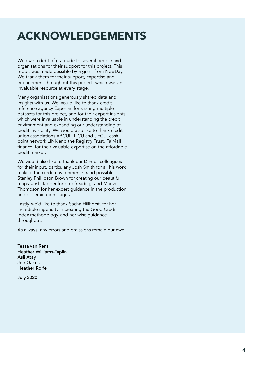### ACKNOWLEDGEMENTS

We owe a debt of gratitude to several people and organisations for their support for this project. This report was made possible by a grant from NewDay. We thank them for their support, expertise and engagement throughout this project, which was an invaluable resource at every stage.

Many organisations generously shared data and insights with us. We would like to thank credit reference agency Experian for sharing multiple datasets for this project, and for their expert insights, which were invaluable in understanding the credit environment and expanding our understanding of credit invisibility. We would also like to thank credit union associations ABCUL, ILCU and UFCU, cash point network LINK and the Registry Trust, Fair4all finance, for their valuable expertise on the affordable credit market.

We would also like to thank our Demos colleagues for their input, particularly Josh Smith for all his work making the credit environment strand possible, Stanley Phillipson Brown for creating our beautiful maps, Josh Tapper for proofreading, and Maeve Thompson for her expert guidance in the production and dissemination stages.

Lastly, we'd like to thank Sacha Hillhorst, for her incredible ingenuity in creating the Good Credit Index methodology, and her wise guidance throughout.

As always, any errors and omissions remain our own.

Tessa van Rens Heather Williams-Taplin Asli Atay Joe Oakes Heather Rolfe

July 2020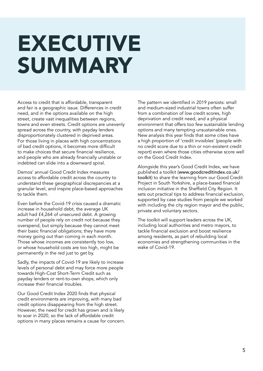### EXECUTIVE SUMMARY

Access to credit that is affordable, transparent and fair is a geographic issue. Differences in credit need, and in the options available on the high street, create vast inequalities between regions, towns and even streets. Credit options are unevenly spread across the country, with payday lenders disproportionately clustered in deprived areas. For those living in places with high concentrations of bad credit options, it becomes more difficult to make choices that secure financial resilience, and people who are already financially unstable or indebted can slide into a downward spiral.

Demos' annual Good Credit Index measures access to affordable credit across the country to understand these geographical discrepancies at a granular level, and inspire place-based approaches to tackle them.

Even before the Covid-19 crisis caused a dramatic increase in household debt, the average UK adult had £4,264 of unsecured debt. A growing number of people rely on credit not because they overspend, but simply because they cannot meet their basic financial obligations; they have more money going out than coming in each month. Those whose incomes are consistently too low, or whose household costs are too high, might be permanently in the red just to get by.

Sadly, the impacts of Covid-19 are likely to increase levels of personal debt and may force more people towards High-Cost Short-Term Credit such as payday lenders or rent-to-own shops, which only increase their financial troubles.

Our Good Credit Index 2020 finds that physical credit environments are improving, with many bad credit options disappearing from the high street. However, the need for credit has grown and is likely to soar in 2020, so the lack of affordable credit options in many places remains a cause for concern. The pattern we identified in 2019 persists: small and medium-sized industrial towns often suffer from a combination of low credit scores, high deprivation and credit need, and a physical environment that offers too few sustainable lending options and many tempting unsustainable ones. New analysis this year finds that some cities have a high proportion of 'credit invisibles' (people with no credit score due to a thin or non-existent credit report) even where those cities otherwise score well on the Good Credit Index.

Alongside this year's Good Credit Index, we have published a toolkit (www.goodcreditindex.co.uk/ toolkit) to share the learning from our Good Credit Project in South Yorkshire, a place-based financial inclusion initiative in the Sheffield City Region. It sets out practical tips to address financial exclusion, supported by case studies from people we worked with including the city region mayor and the public, private and voluntary sectors.

The toolkit will support leaders across the UK, including local authorities and metro mayors, to tackle financial exclusion and boost resilience among residents, as part of rebuilding local economies and strengthening communities in the wake of Covid-19.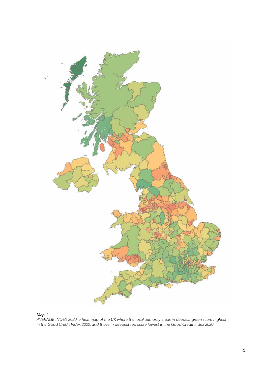

#### *Map 1*

*AVERAGE INDEX 2020: a heat map of the UK where the local authority areas in deepest green score highest in the Good Credit Index 2020, and those in deepest red score lowest in the Good Credit Index 2020.*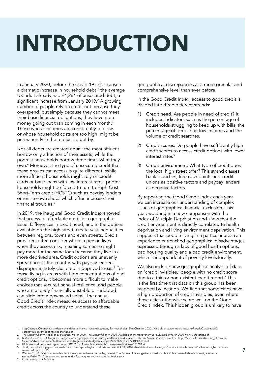# INTRODUCTION

In January 2020, before the Covid-19 crisis caused a dramatic increase in household debt, $^1$  the average UK adult already had £4,264 of unsecured debt, a significant increase from January 2019.<sup>2</sup> A growing number of people rely on credit not because they overspend, but simply because they cannot meet their basic financial obligations; they have more money going out than coming in each month. $3$ Those whose incomes are consistently too low, or whose household costs are too high, might be permanently in the red just to get by.

Not all debts are created equal: the most affluent borrow only a fraction of their assets, while the poorest households borrow three times what they own.4 Moreover, the type of unsecured credit that these groups can access is quite different. While more affluent households might rely on credit cards or bank loans with low interest rates, poorer households might be forced to turn to High-Cost Short-Term credit (HCSTC) such as payday lenders or rent-to-own shops which often increase their financial troubles.<sup>5</sup>

In 2019, the inaugural Good Credit Index showed that access to affordable credit is a geographic issue. Differences in credit need, and in the options available on the high street, create vast inequalities between regions, towns and even streets. Credit providers often consider where a person lives when they assess risk, meaning someone might pay more for the same loan because they live in a more deprived area. Credit options are unevenly spread across the country, with payday lenders disproportionately clustered in deprived areas.<sup>6</sup> For those living in areas with high concentrations of bad credit options, it becomes more difficult to make choices that secure financial resilience, and people who are already financially unstable or indebted can slide into a downward spiral. The annual Good Credit Index measures access to affordable credit across the country to understand these

geographical discrepancies at a more granular and comprehensive level than ever before.

In the Good Credit Index, access to good credit is divided into three different strands:

- 1) Credit need. Are people in need of credit? It includes indicators such as the percentage of households struggling to keep up with bills, the percentage of people on low incomes and the volume of credit searches.
- 2) Credit scores. Do people have sufficiently high credit scores to access credit options with lower interest rates?
- 3) Credit environment. What type of credit does the local high street offer? This strand classes bank branches, free cash points and credit unions as positive factors and payday lenders as negative factors.

By repeating the Good Credit Index each year, we can increase our understanding of complex issues of geographical financial exclusion. This year, we bring in a new comparison with the Index of Multiple Deprivation and show that the credit environment is directly correlated to health deprivation and living environment deprivation. This suggests that people living in a particular area can experience entrenched geographical disadvantages expressed through a lack of good health options, bad housing quality and a bad credit environment, which is independent of poverty levels locally.

We also include new geographical analysis of data on 'credit invisibles,' people with no credit score due to a thin or non-existent credit report.7 This is the first time that data on this group has been mapped by location. We find that some cities have a high proportion of credit invisibles, even where those cities otherwise score well on the Good Credit Index. This hidden group is unlikely to have

<sup>1.</sup> StepChange, Coronavirus and personal debt: a financial recovery strategy for households. StepChange, 2020. Available at www.stepchange.org/Portals/0/assets/pdf/ coronavirus-policy-briefing-stepchange.pdf

<sup>2.</sup> The Money Charity. The Money Statistics, March 2020. The Money Charity, 2020. Available at themoneycharity.org.uk/media/March-2020-Money-Statistics.pdf<br>3. Matin, J. and Lane, J. Negative Budgets, A new perspective on po

<sup>6.</sup> Warren, T., UK: One short term lender for every seven banks on the high street. The Bureau of Investigative Journalism. Available at www.thebureauinvestigates.com/<br>stories/2014-03-12/uk-one-short-term-lender-for-every-s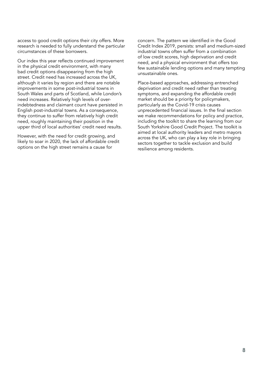access to good credit options their city offers. More research is needed to fully understand the particular circumstances of these borrowers.

Our index this year reflects continued improvement in the physical credit environment, with many bad credit options disappearing from the high street. Credit need has increased across the UK, although it varies by region and there are notable improvements in some post-industrial towns in South Wales and parts of Scotland, while London's need increases. Relatively high levels of overindebtedness and claimant count have persisted in English post-industrial towns. As a consequence, they continue to suffer from relatively high credit need, roughly maintaining their position in the upper third of local authorities' credit need results.

However, with the need for credit growing, and likely to soar in 2020, the lack of affordable credit options on the high street remains a cause for

concern. The pattern we identified in the Good Credit Index 2019, persists: small and medium-sized industrial towns often suffer from a combination of low credit scores, high deprivation and credit need, and a physical environment that offers too few sustainable lending options and many tempting unsustainable ones.

Place-based approaches, addressing entrenched deprivation and credit need rather than treating symptoms, and expanding the affordable credit market should be a priority for policymakers, particularly as the Covid-19 crisis causes unprecedented financial issues. In the final section we make recommendations for policy and practice, including the toolkit to share the learning from our South Yorkshire Good Credit Project. The toolkit is aimed at local authority leaders and metro mayors across the UK, who can play a key role in bringing sectors together to tackle exclusion and build resilience among residents.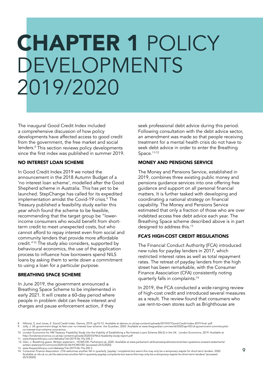### CHAPTER 1 POLICY DEVELOPMENTS 2019/2020

The inaugural Good Credit Index included a comprehensive discussion of how policy developments have affected access to good credit from the government, the free market and social lenders.8 This section reviews policy developments since the first index was published in summer 2019.

#### NO INTEREST LOAN SCHEME

In Good Credit Index 2019 we noted the announcement in the 2018 Autumn Budget of a 'no interest loan scheme', modelled after the Good Shepherd scheme in Australia. This has yet to be launched. StepChange has called for its expedited implementation amidst the Covid-19 crisis.9 The Treasury published a feasibility study earlier this year which found the scheme to be feasible, recommending that the target group be "lowerincome consumers who would benefit from shortterm credit to meet unexpected costs, but who cannot afford to repay interest even from social and community lenders that provide more affordable credit."10 The study also considers, supported by behavioural economics, the use of the application process to influence how borrowers spend NILS loans by asking them to write down a commitment to using a loan for a particular purpose.

#### BREATHING SPACE SCHEME

In June 2019, the government announced a Breathing Space Scheme to be implemented in early 2021. It will create a 60-day period where people in problem debt can freeze interest and charges and pause enforcement action, if they

seek professional debt advice during this period. Following consultation with the debt advice sector, an amendment was made so that people receiving treatment for a mental health crisis do not have to seek debt advice in order to enter the Breathing Space.<sup>11/12</sup>

#### MONEY AND PENSIONS SERVICE

The Money and Pensions Service, established in 2019, combines three existing public money and pensions guidance services into one offering free guidance and support on all personal financial matters. It is further tasked with developing and coordinating a national strategy on financial capability. The Money and Pensions Service estimated that only a fraction of those who are over indebted access free debt advice each year. The Breathing Space scheme described above is in part designed to address this.13

#### FCA'S HIGH-COST CREDIT REGULATIONS

The Financial Conduct Authority (FCA) introduced new rules for payday lenders in 2017, which restricted interest rates as well as total repayment rates. The retreat of payday lenders from the high street has been remarkable, with the Consumer Finance Association (CFA) consistently noting quarterly falls in complaints.14

In 2019, the FCA conducted a wide-ranging review of high-cost credit and introduced several measures as a result. The review found that consumers who use rent-to-own stores such as Brighthouse are

no-interest-loan-scheme-coronavirus<br>10. London Economics for HM Treasury. Feasibility Study into the Viability of Establishing a No-Interest Loans Scheme (NILS) in the UK. London Economics, 2019. Available at<br>http://londo

<sup>8.</sup> Hilhorst, S. and Jones, E. Good Credit Index. Demos, 2019, pp10-12. Available at demos.co.uk/wp-content/uploads/2019/07/Good-Credit-Index-2019-final-.pdf<br>9. Jolly, J. UK government drags its feet over no-interest loan

<sup>11.</sup> www.theyworkforyou.com/debates/?id=2019-06-19a.245.3

<sup>12.</sup> Glen, J. Breathing space: Written statement - HCWS100. Parliament.uk, 2020. Available at www.parliament.uk/business/publications/written-questions-answers-statements/<br>written-statement/Commons/2020-02-06/HCWS100/ [acce

<sup>13.</sup> www.theyworkforyou.com/debates/?id=2019-06-19a.245.3<br>14. Consumer Finance Association. CFA welcomes another fall in quarterly 'payday' complaints but warns this may only be a temporary respite for short-term lenders. 2 Available at cfa-uk.co.uk/cfa-welcomes-another-fall-in-quarterly-payday-complaints-but-warns-this-may-only-be-a-temporary-respite-for-short-term-lenders/ [accessed 25/5/2020]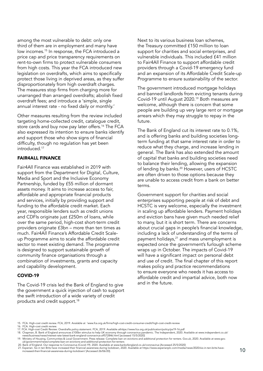among the most vulnerable to debt: only one third of them are in employment and many have low incomes.15 In response, the FCA introduced a price cap and price transparency requirements on rent-to-own firms to protect vulnerable consumers from high costs. This year the FCA introduced new legislation on overdrafts, which aims to specifically protect those living in deprived areas, as they suffer disproportionately from high overdraft charges. The measures stop firms from charging more for unarranged than arranged overdrafts; abolish fixed overdraft fees; and introduce a 'simple, single annual interest rate - no fixed daily or monthly.'

Other measures resulting from the review included targeting home-collected credit, catalogue credit, store cards and buy now pay later offers.<sup>16</sup> The FCA also expressed its intention to ensure banks identify and support those who show signs of financial difficulty, though no regulation has yet been introduced<sup>17</sup>

#### FAIR4ALL FINANCE

Fair4All Finance was established in 2019 with support from the Department for Digital, Culture, Media and Sport and the Inclusive Economy Partnership, funded by £55 million of dormant assets money. It aims to increase access to fair, affordable and appropriate financial products and services, initially by providing support and funding to the affordable credit market. Each year, responsible lenders such as credit unions and CDFIs originate just £250m of loans, while over the same period, high-cost short-term credit providers originate £3bn – more than ten times as much. Fair4All Finance's Affordable Credit Scaleup Programme aims to scale the affordable credit sector to meet existing demand. The programme is designed to support sustainable growth of community finance organisations through a combination of investments, grants and capacity and capability development.

#### COVID-19

The Covid-19 crisis led the Bank of England to give the government a quick injection of cash to support the swift introduction of a wide variety of credit products and credit support.<sup>18</sup>

Next to its various business loan schemes, the Treasury committed £150 million to loan support for charities and social enterprises, and vulnerable individuals. This included £41 million to Fair4All Finance to support affordable credit providers through a Covid-19 emergency fund and an expansion of its Affordable Credit Scale-up Programme to ensure sustainability of the sector.

The government introduced mortgage holidays and banned landlords from evicting tenants during Covid-19 until August 2020.19 Both measures are welcome, although there is concern that some people are building up very large rent or mortgage arrears which they may struggle to repay in the future.

The Bank of England cut its interest rate to 0.1%, and is offering banks and building societies longterm funding at that same interest rate in order to reduce what they charge, and increase lending in general. The Bank has also extended the amount of capital that banks and building societies need to balance their lending, allowing the expansion of lending by banks.20 However, users of HCSTC are often driven to those options because they are unable to access credit from a bank on better terms.

Government support for charities and social enterprises supporting people at risk of debt and HCSTC is very welcome, especially the investment in scaling up affordable lenders. Payment holidays and eviction bans have given much needed relief to many, but it is short term. There are concerns about crucial gaps in people's financial knowledge, including a lack of understanding of the terms of payment holidays,<sup>21</sup> and mass unemployment is expected once the government's furlough scheme wraps up in October. The impacts of Covid-19 will have a significant impact on personal debt and use of credit. The final chapter of this report makes policy and practice recommendations to ensure everyone who needs it has access to affordable credit and impartial advice, both now and in the future.

<sup>15.</sup> FCA. High-cost credit review. FCA, 2019. Avialable at 'www.fca.org.uk/firms/high-cost-credit-consumer-credit/high-cost-credit-review

<sup>16.</sup> FCA. High-cost credit review.

<sup>17.</sup> FCA. High-cost Credit Review: Overdrafts policy statement. FCA, 2019. Available athttps://www.fca.org.uk/publication/policy/ps19-16.pdf<br>18. Chapman, B. Bank of England announces £100bn stimulus to help UK economy throu

uk/government/news/complete-ban-on-evictions-and-additional-protection-for-renters 20. Bank of England. Our response to Coronavirus (Covid-19). 2020. Available at www.bankofengland.co.uk/coronavirus [Accessed 25/5/2020]

 <sup>21.</sup> Experian. Six in ten Brits have increased their financial awareness during lockdown, 2020. Available at https://www.experianplc.com/media/news/2020/six-in-ten-brits-have-Experian. Six musical-awarenceased their mancial awareness during lockdown, zuzu. Available at https://www.experianpic.com/media/news/zuzu/six-in-ten-brits-nave-<br>increased-their-financial-awareness-during-lockdown/ [Access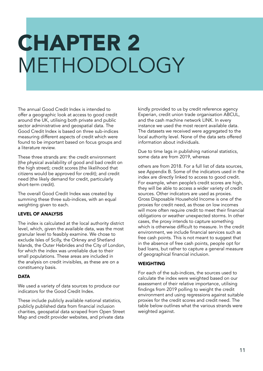### CHAPTER 2 METHODOLOGY

The annual Good Credit Index is intended to offer a geographic look at access to good credit around the UK, utilising both private and public sector administrative and geospatial data. The Good Credit Index is based on three sub-indices measuring different aspects of credit which were found to be important based on focus groups and a literature review.

These three strands are: the credit environment (the physical availability of good and bad credit on the high street); credit scores (the likelihood that citizens would be approved for credit); and credit need (the likely demand for credit, particularly short-term credit).

The overall Good Credit Index was created by summing these three sub-indices, with an equal weighting given to each.

#### LEVEL OF ANALYSIS

The index is calculated at the local authority district level, which, given the available data, was the most granular level to feasibly examine. We chose to exclude Isles of Scilly, the Orkney and Shetland Islands, the Outer Hebrides and the City of London, for which the index was unreliable due to their small populations. These areas are included in the analysis on credit invisibles, as these are on a constituency basis.

#### **DATA**

We used a variety of data sources to produce our indicators for the Good Credit Index.

These include publicly available national statistics, publicly published data from financial inclusion charities, geospatial data scraped from Open Street Map and credit provider websites, and private data

kindly provided to us by credit reference agency Experian, credit union trade organisation ABCUL, and the cash machine network LINK. In every instance we used the most recent available data. The datasets we received were aggregated to the local authority level. None of the data sets offered information about individuals.

Due to time lags in publishing national statistics, some data are from 2019, whereas

others are from 2018. For a full list of data sources, see Appendix B. Some of the indicators used in the index are directly linked to access to good credit. For example, when people's credit scores are high, they will be able to access a wider variety of credit sources. Other indicators are used as proxies. Gross Disposable Household Income is one of the proxies for credit need, as those on low incomes will more often require credit to meet their financial obligations or weather unexpected storms. In other cases, the proxy intends to capture something which is otherwise difficult to measure. In the credit environment, we include financial services such as free cash points. This is not meant to suggest that in the absence of free cash points, people opt for bad loans, but rather to capture a general measure of geographical financial inclusion.

#### WEIGHTING

For each of the sub-indices, the sources used to calculate the index were weighted based on our assessment of their relative importance, utilising findings from 2019 polling to weight the credit environment and using regressions against suitable proxies for the credit scores and credit need. The table below outlines what the various strands were weighted against.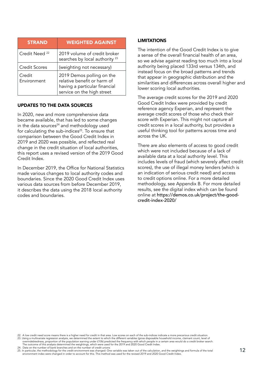| <b>STRAND</b>             | <b>WEIGHTED AGAINST</b>                                                                                                 |
|---------------------------|-------------------------------------------------------------------------------------------------------------------------|
| Credit Need <sup>22</sup> | 2019 volume of credit broker<br>searches by local authority <sup>23</sup>                                               |
| <b>Credit Scores</b>      | (weighting not necessary)                                                                                               |
| Credit<br>Environment     | 2019 Demos polling on the<br>relative benefit or harm of<br>having a particular financial<br>service on the high street |

#### UPDATES TO THE DATA SOURCES

In 2020, new and more comprehensive data became available, that has led to some changes in the data sources $24$  and methodology used for calculating the sub-indices<sup>25</sup>. To ensure that comparison between the Good Credit Index in 2019 and 2020 was possible, and reflected real change in the credit situation of local authorities, this report uses a revised version of the 2019 Good Credit Index.

In December 2019, the Office for National Statistics made various changes to local authority codes and boundaries. Since the 2020 Good Credit Index uses various data sources from before December 2019, it describes the data using the 2018 local authority codes and boundaries.

#### LIMITATIONS

The intention of the Good Credit Index is to give a sense of the overall financial health of an area, so we advise against reading too much into a local authority being placed 133rd versus 134th, and instead focus on the broad patterns and trends that appear in geographic distribution and the similarities and differences across overall higher and lower scoring local authorities.

The average credit scores for the 2019 and 2020 Good Credit Index were provided by credit reference agency Experian, and represent the average credit scores of those who check their score with Experian. This might not capture all credit scores in a local authority, but provides a useful thinking tool for patterns across time and across the UK.

There are also elements of access to good credit which were not included because of a lack of available data at a local authority level. This includes levels of fraud (which severely affect credit scores), the use of illegal money lenders (which is an indication of serious credit need) and access to credit options online. For a more detailed methodology, see Appendix B. For more detailed results, see the digital index which can be found online at https://demos.co.uk/project/the-goodcredit-index-2020/

25. In particular, the methodology for the credit environment was changed: One variable was taken out of the calculation, and the weightings and formula of the total environment index were changed in order to account for this. This method was used for the revised 2019 and 2020 Good Credit Index.

<sup>22.</sup> A low credit need score means there is a higher need for credit in that area. Low scores on each of the sub-indices indicate a more precarious credit situation. 23. Using a multivariate regression analysis, we determined the extent to which the different variables (gross disposable household income, claimant count, level of<br>overindebtedness, proportion of the population earning un

The outcome of this analysis determined the weightings, which were used for the 2019 and 2020 Good Credit Index. 24. Data on the number of bank branches and on the number of credit unions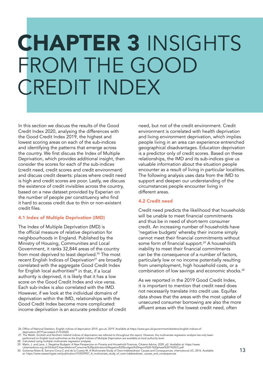### CHAPTER 3 INSIGHTS FROM THE GOOD CREDIT INDEX

In this section we discuss the results of the Good Credit Index 2020, analysing the differences with the Good Credit Index 2019, the highest and lowest scoring areas on each of the sub-indices and identifying the patterns that emerge across the country. We first discuss the Index of Multiple Deprivation, which provides additional insight, then consider the scores for each of the sub-indices (credit need, credit scores and credit environment) and discuss credit deserts: places where credit need is high and credit scores are poor. Lastly, we discuss the existence of credit invisibles across the country, based on a new dataset provided by Experian on the number of people per constituency who find it hard to access credit due to thin or non-existent credit files.

#### 4.1 Index of Multiple Deprivation (IMD)

The Index of Multiple Deprivation (IMD) is the official measure of relative deprivation for neighbourhoods in England. Published by the Ministry of Housing, Communities and Local Government, it ranks 32,844 areas of the country from most deprived to least deprived.<sup>26</sup> The most recent English Indices of Deprivation<sup>27</sup> are broadly correlated with the aggregate Good Credit Index for English local authorities $28$  in that, if a local authority is deprived, it is likely that it has a low score on the Good Credit Index and vice versa. Each sub-index is also correlated with the IMD. However, if we look at the individual domains of deprivation within the IMD, relationships with the Good Credit Index become more complicated: income deprivation is an accurate predictor of credit need, but not of the credit environment. Credit environment is correlated with health deprivation and living environment deprivation, which implies people living in an area can experience entrenched geographical disadvantages. Education deprivation is a predictor only of credit scores. Based on these relationships, the IMD and its sub-indices give us valuable information about the situation people encounter as a result of living in particular localities. The following analysis uses data from the IMD to support and deepen our understanding of the circumstances people encounter living in different areas.

#### 4.2 Credit need

Credit need predicts the likelihood that households will be unable to meet financial commitments and thus be in need of short-term consumer credit. An increasing number of households have 'negative budgets' whereby their income simply cannot meet their financial commitments without some form of financial support.<sup>29</sup> A household's inability to meet their financial commitments can be the consequence of a number of factors, particularly low or no income potentially resulting from unemployment, high household costs, or a combination of low savings and economic shocks.<sup>30</sup>

As we reported in the 2019 Good Credit Index, it is important to mention that credit need does not necessarily translate into credit use. Equifax data shows that the areas with the most uptake of unsecured consumer borrowing are also the more affluent areas with the lowest credit need, often

<sup>26.</sup> Office of National Statistics. English indices of deprivation 2019, gov.uk, 2019. Available at https://www.gov.uk/government/statistics/english-indices-of-<br>deprivation-2019 [accessed 21/5/2020]<br>27. The Welsh, Scottish performed on English local authorities as the English Indices of Multiple Deprivation are available at local authority level. 28. Calculated using multiple multivariate regression analyses.

<sup>29.</sup> Matin, J. and Lane, J. Negative Budgets: A New Perspective on Poverty and Household Finances. Citizens Advice, 2020, p2. Available at: https://www.<br>citizensadvice.org.uk/Global/CitizensAdvice/Consumer%20publications/Ne

at: https://www.researchgate.net/publication/310539957\_A\_multivariate\_study\_of\_over-indebtedness'\_causes\_and\_consequences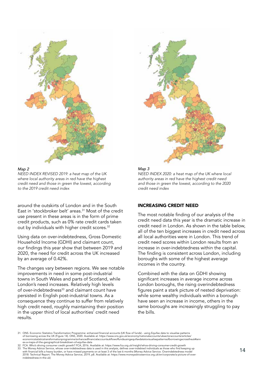

#### *Map 2*

*NEED INDEX REVISED 2019: a heat map of the UK where local authority areas in red have the highest credit need and those in green the lowest, according to the 2019 credit need index*

around the outskirts of London and in the South East in 'stockbroker belt' areas.31 Most of the credit use present in these areas is in the form of prime credit products, such as 0% rate credit cards taken out by individuals with higher credit scores.<sup>32</sup>

Using data on over-indebtedness, Gross Domestic Household Income (GDHI) and claimant count, our findings this year show that between 2019 and 2020, the need for credit across the UK increased by an average of 0.42%.

The changes vary between regions. We see notable improvements in need in some post-industrial towns in South Wales and parts of Scotland, while London's need increases. Relatively high levels of over-indebtedness<sup>33</sup> and claimant count have persisted in English post-industrial towns. As a consequence they continue to suffer from relatively high credit need, roughly maintaining their position in the upper third of local authorities' credit need results.



#### *Map 3*

*NEED INDEX 2020: a heat map of the UK where local authority areas in red have the highest credit need and those in green the lowest, according to the 2020 credit need index*

#### INCREASING CREDIT NEED

The most notable finding of our analysis of the credit need data this year is the dramatic increase in credit need in London. As shown in the table below, all of the ten biggest increases in credit need across all local authorities were in London. This trend of credit need scores within London results from an increase in over-indebtedness within the capital. The finding is consistent across London, including boroughs with some of the highest average incomes in the country.

Combined with the data on GDHI showing significant increases in average income across London boroughs, the rising overindebtedness figures paint a stark picture of nested deprivation: while some wealthy individuals within a borough have seen an increase in income, others in the same boroughs are increasingly struggling to pay the bills.

31. ONS. Economic Statistics Transformation Programme: enhanced financial accounts (UK flow of funds) - using Equifax data to visualise patterns<br>of borrowing across the UK (Figure 14). ONS, 2020. Available at: https://www. economicstatisticstransformationprogramme/enhancedfinancialaccountsukflowoffundsusingequifaxdatatovisualisepatternsofborrowingacrosstheuk#ann<br>ex-a-maps-of-the-geographical-breakdown-of-equifax-data<br>22. FCA. Who's driving-c

33. The Money Advice Service, whose over-indebtedness data is used in this analysis, defines over-indebted individuals as those who find keeping up<br>with financial bills a heavy burden, or have missed payments on at least 3 2018: Technical Report. The Money Advice Service, 2019, p8. Available at: https://www.moneyadviceservice.org.uk/en/corporate/a-picture-of-overindebtedness-in-the-uk)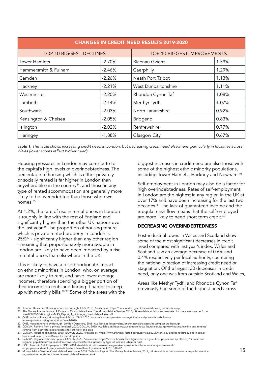| <b>CHANGES IN CREDIT NEED RESULTS 2019-2020</b> |          |                             |       |  |
|-------------------------------------------------|----------|-----------------------------|-------|--|
| <b>TOP 10 BIGGEST DECLINES</b>                  |          | TOP 10 BIGGEST IMPROVEMENTS |       |  |
| <b>Tower Hamlets</b>                            | $-2.70%$ | <b>Blaenau Gwent</b>        | 1.59% |  |
| Hammersmith & Fulham                            | $-2.46%$ | Caerphilly                  | 1.29% |  |
| Camden                                          | $-2.26%$ | Neath Port Talbot           | 1.13% |  |
| Hackney                                         | $-2.21%$ | West Dunbartonshire         | 1.11% |  |
| Westminster                                     | $-2.20%$ | Rhondda Cynon Taf           | 1.08% |  |
| Lambeth                                         | $-2.14%$ | Merthyr Tydfil              | 1.07% |  |
| Southwark                                       | $-2.03%$ | North Lanarkshire           | 0.92% |  |
| Kensington & Chelsea                            | $-2.05%$ | Bridgend                    | 0.83% |  |
| Islington                                       | $-2.02%$ | Renfrewshire                | 0.77% |  |
| Haringey                                        | $-1.88%$ | Glasgow City                | 0.67% |  |

*Table 1: The table shows increasing credit need in London, but decreasing credit need elsewhere, particularly in localities across*  Wales (lower scores reflect higher need).

Housing pressures in London may contribute to the capital's high levels of overindebtedness. The percentage of housing which is either privately or socially rented is far higher in London than anywhere else in the country $34$ , and those in any type of rented accommodation are generally more likely to be overindebted than those who own homes.35

At 1.2%, the rate of rise in rental prices in London is roughly in line with the rest of England and significantly higher than the other UK nations over the last year.<sup>36</sup> The proportion of housing tenure which is private rented property in London is 25%37 - significantly higher than any other region - meaning that proportionately more people in London are likely to have been impacted by a rise in rental prices than elsewhere in the UK.

This is likely to have a disproportionate impact on ethnic minorities in London, who, on average, are more likely to rent, and have lower average incomes, therefore spending a bigger portion of their income on rents and finding it harder to keep up with monthly bills.<sup>38/39</sup> Some of the areas with the biggest increases in credit need are also those with some of the highest ethnic minority populations, including Tower Hamlets, Hackney and Newham.<sup>40</sup>

Self-employment in London may also be a factor for high overindebtedness. Rates of self-employment in London are the highest in any region in the UK at over 17% and have been increasing for the last two decades.41 The lack of guaranteed income and the irregular cash flow means that the self-employed are more likely to need short term credit.<sup>42</sup>

#### DECREASING OVERINDEBTEDNESS

Post-industrial towns in Wales and Scotland show some of the most significant decreases in credit need compared with last year's index. Wales and Scotland saw an average decrease of 0.6% and 0.4% respectively per local authority, countering the national direction of increasing credit need or stagnation. Of the largest 30 decreases in credit need, only one was from outside Scotland and Wales.

Areas like Methyr Tydfil and Rhondda Cynon Taf previously had some of the highest need across

- 
- 36. ONS. Index of Private Housing Rental Prices. ONS, 2020. https://www.ons.gov.uk/economy/inflationandpriceindices/bulletins/ indexofprivatehousingrentalprices/march2020
- 
- 37. ONS. Housing tenure by Borough. London Datastore, 2018. Available at: https://data.london.gov.uk/dataset/housing-tenure-borough<br>38. GOV.UK. Renting from a private landlord, 2020. GOV.UK, 2020. Available at: https://w
- renting-from-a-private-landlord/latest#by-ethnicity-and-area 39. GOV.UK. Household income, 2020. GOV.UK, 2020. Available at: https://www.ethnicity-facts-figures.service.gov.uk/work-pay-and-benefits/pay-and-income/
- household-income/latest#main-facts-and-figures<br>40. GOV.UK. Regional ethnicity figures. GOV.UK, 2020. Available at: https://www.ethnicity-facts-figures.service.gov.uk/uk-population-by-ethnicity/national-and-
- regional-populations/regional-ethnic-diversity/latest#ethnic-groups-by-type-of-location-urban-or-rural<br>41. ONS. Trends in Self Employment. ONS, 2018. Available at: https://www.ons.gov.uk/employmentandlabourmarket/peopleinw
- employmentandemployeetypes/articles/trendsinselfemploymentintheuk/2018-02-07<br>-42. Money Advice Service. Overindebtedness model 2018: Technical Report. The Money Advice Service, 2019, p8. Available at: https://www.moneyadvi org.uk/en/corporate/a-picture-of-over-indebtedness-in-the-uk

<sup>34.</sup> London Datastore. Housing tenure by Borough. ONS, 2018. Available at: https://data.london.gov.uk/dataset/housing-tenure-borough<br>35. The Money Advice Service. A Picture of Overindebtedness. The Money Advice Service, 2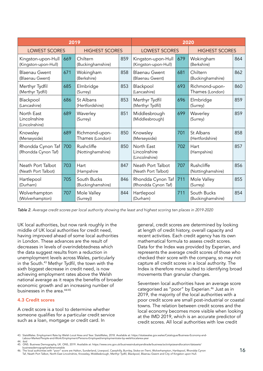| 2019                                         |     | 2020                              |                                               |                                              |                       |                                   |     |
|----------------------------------------------|-----|-----------------------------------|-----------------------------------------------|----------------------------------------------|-----------------------|-----------------------------------|-----|
| <b>LOWEST SCORES</b>                         |     |                                   | <b>HIGHEST SCORES</b><br><b>LOWEST SCORES</b> |                                              | <b>HIGHEST SCORES</b> |                                   |     |
| Kingston-upon-Hull<br>(Kingston-upon-Hull)   | 669 | Chiltern<br>(Buckinghamshire)     | 859                                           | Kingston-upon-Hull<br>(Kingston-upon-Hull)   | 679                   | Wokingham<br>(Berkshire)          | 864 |
| <b>Blaenau Gwent</b><br>(Blaenau Gwent)      | 671 | Wokingham<br>(Berkshire)          | 858                                           | <b>Blaenau Gwent</b><br>(Blaenau Gwent)      | 681                   | Chiltern<br>(Buckinghamshire)     | 862 |
| Merthyr Tydfil<br>(Merthyr Tydfil)           | 685 | Elmbridge<br>(Surrey)             | 853                                           | Blackpool<br>(Lancashire)                    | 693                   | Richmond-upon-<br>Thames (London) | 860 |
| Blackpool<br>(Lancashire)                    | 686 | St Albans<br>(Hertfordshire)      | 853                                           | Merthyr Tydfil<br>(Merthyr Tydfil)           | 696                   | Elmbridge<br>(Surrey)             | 859 |
| North East<br>Lincolnshire<br>(Lincolnshire) | 689 | Waverley<br>(Surrey)              | 851                                           | Middlesbrough<br>(Middlesbrough)             | 699                   | Waverley<br>(Surrey)              | 859 |
| Knowsley<br>(Merseyside)                     | 689 | Richmond-upon-<br>Thames (London) | 850                                           | Knowsley<br>(Merseyside)                     | 701                   | St Albans<br>(Hertfordshire)      | 858 |
| Rhondda Cynon Taf<br>(Rhondda Cynon Taf)     | 700 | Rushcliffe<br>(Nottinghamshire)   | 850                                           | North East<br>Lincolnshire<br>(Lincolnshire) | 702                   | Hart<br>(Hampshire)               | 857 |
| Neath Port Talbot<br>(Neath Port Talbot)     | 703 | Hart<br>(Hampshire                | 847                                           | Neath Port Talbot<br>(Neath Port Talbot)     | 707                   | Rushcliffe<br>(Nottinghamshire)   | 856 |
| Hartlepool<br>(Durham)                       | 705 | South Bucks<br>(Buckinghamshire)  | 846                                           | Rhondda Cynon Taf<br>(Rhondda Cynon Taf)     | 711                   | Mole Valley<br>(Surrey)           | 855 |
| Wolverhampton<br>(Wolverhampton)             | 707 | Mole Valley<br>(Surrey))          | 844                                           | Hartlepool<br>(Durham)                       | 711                   | South Bucks<br>(Buckinghamshire)  | 854 |

*Table 2. Average credit scores per local authority showing the least and highest scoring ten places in 2019-2020*

UK local authorities, but now rank roughly in the middle of UK local authorities for credit need, having improved ahead of some local authorities in London. These advances are the result of decreases in levels of overindebtedness which the data suggest results from a reduction in unemployment levels across Wales, particularly in the South.<sup>43</sup> Methyr Tydfil, the town with the sixth biggest decrease in credit need, is now achieving employment rates above the Welsh national average as it reaps the benefits of broader economic growth and an increasing number of businesses in the area.44/45

#### 4.3 Credit scores

A credit score is a tool to determine whether someone qualifies for a particular credit service such as a loan, mortgage or credit card. In

general, credit scores are determined by looking at length of credit history, overall capacity and recent activities. Each credit agency has its own mathematical formula to assess credit scores. Data for the Index was provided by Experian, and represents the average credit scores of those who checked their score with the company, so may not capture all credit scores in a local authority. The Index is therefore more suited to identifying broad movements than granular changes.

Seventeen local authorities have an average score categorised as "poor" by Experian.46 Just as in 2019, the majority of the local authorities with a poor credit score are small post-industrial or coastal towns. The relation between credit scores and the local economy becomes more visible when looking at the IMD 2019, which is an accurate predictor of credit scores. All local authorities with low credit

<sup>43.</sup> StatsWales. Employment Rate by Welsh Local Area and Year. StatsWales, 2018. Available at: https://statswales.gov.wales/Catalogue/Business-Economy-and-Labour-Market/People-and-Work/Employment/Persons-Employed/employmentrate-by-welshlocalarea-year 44. ibid

<sup>45.</sup> ONS. Business Demography, UK. ONS, 2019. Available at: https://www.ons.gov.uk/businessindustryandtrade/business/activitysizeandlocation/datasets/

businessdemographyreferencetable 46. The local authorities with "poor" score are Halton, Sunderland, Liverpool, Caerphilly, Burnley, Stoke-on-Trent, Wolverhampton, Hartlepool, Rhondda Cynon Taf, Neath Port Talbot, North East Lincolnshire, Knowsley, Middlesbrough, Merthyr Tydfil, Blackpool, Blaenau Gwent and City of Kingston upon Hull.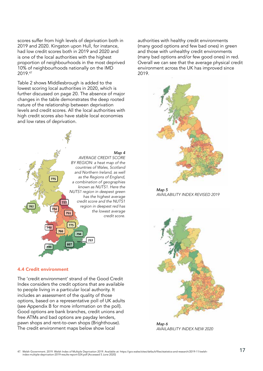scores suffer from high levels of deprivation both in 2019 and 2020. Kingston upon Hull, for instance, had low credit scores both in 2019 and 2020 and is one of the local authorities with the highest proportion of neighbourhoods in the most deprived 10% of neighbourhoods nationally on the IMD 2019.47

Table 2 shows Middlesbrough is added to the lowest scoring local authorities in 2020, which is further discussed on page 20. The absence of major changes in the table demonstrates the deep rooted nature of the relationship between deprivation levels and credit scores. All the local authorities with high credit scores also have stable local economies and low rates of deprivation.



#### 4.4 Credit environment

The 'credit environment' strand of the Good Credit Index considers the credit options that are available to people living in a particular local authority. It includes an assessment of the quality of those options, based on a representative poll of UK adults (see Appendix B for more information on the poll). Good options are bank branches, credit unions and free ATMs and bad options are payday lenders, pawn shops and rent-to-own shops (Brighthouse). The credit environment maps below show local

authorities with healthy credit environments (many good options and few bad ones) in green and those with unhealthy credit environments (many bad options and/or few good ones) in red. Overall we can see that the average physical credit environment across the UK has improved since 2019.



*Map 5 AVAILABILITY INDEX REVISED 2019*



*Map 6 AVAILABILITY INDEX NEW 2020*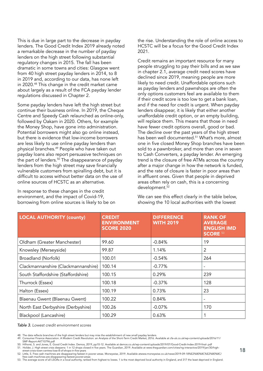This is due in large part to the decrease in payday lenders. The Good Credit Index 2019 already noted a remarkable decrease in the number of payday lenders on the high street following substantial regulatory changes in 2015. The fall has been dramatic in some towns and cities: Glasgow went from 40 high street payday lenders in 2014, to 8 in 2019 and, according to our data, has none left in 2020.48 This change in the credit market came about largely as a result of the FCA payday lender regulations discussed in Chapter 2.

Some payday lenders have left the high street but continue their business online. In 2019, the Cheque Centre and Speedy Cash relaunched as online-only, followed by Oakam in 2020. Others, for example the Money Shop, have gone into administration. Potential borrowers might also go online instead, but there is evidence that low-income borrowers are less likely to use online payday lenders than physical branches.49 People who have taken out payday loans also report persuasive techniques on the part of lenders.<sup>50</sup> The disappearance of payday lenders from the high street may save financially vulnerable customers from spiralling debt, but it is difficult to access without better data on the use of online sources of HCSTC as an alternative.

In response to these changes in the credit environment, and the impact of Covid-19, borrowing from online sources is likely to be on the rise. Understanding the role of online access to HCSTC will be a focus for the Good Credit Index 2021.

Credit remains an important resource for many people struggling to pay their bills and as we saw in chapter 2.1, average credit need scores have declined since 2019, meaning people are more likely to need credit. Unaffordable options such as payday lenders and pawnshops are often the only options customers feel are available to them if their credit score is too low to get a bank loan, and if the need for credit is urgent. When payday lenders disappear, it is likely that either another unaffordable credit option, or an empty building, will replace them. This means that those in need have fewer credit options overall, good or bad. The decline over the past years of the high street has been well documented.<sup>51</sup> What's more, almost one in five closed Money Shop branches have been sold to a pawnbroker, and more than one in seven to Cash Converters, a payday lender. An emerging trend is the closure of free ATMs across the country after a major change in how the network is funded, and the rate of closure is faster in poor areas than in affluent ones. Given that people in deprived areas often rely on cash, this is a concerning development.<sup>52</sup>

We can see this effect clearly in the table below, showing the 10 local authorities with the lowest

| <b>LOCAL AUTHORITY (county)</b>     | <b>CREDIT</b><br><b>ENVIRONMENT</b><br><b>SCORE 2020</b> | <b>DIFFERENCE</b><br><b>WITH 2019</b> | <b>RANK OF</b><br><b>AVERAGE</b><br><b>ENGLISH IMD</b><br><b>SCORE 53</b> |
|-------------------------------------|----------------------------------------------------------|---------------------------------------|---------------------------------------------------------------------------|
| Oldham (Greater Manchester)         | 99.60                                                    | $-0.84%$                              | 19                                                                        |
| Knowsley (Merseyside)               | 99.87                                                    | 1.14%                                 | 2                                                                         |
| Broadland (Norfolk)                 | 100.01                                                   | $-0.54%$                              | 264                                                                       |
| Clackmannanshire (Clackmannanshire) | 100.14                                                   | $-0.77%$                              |                                                                           |
| South Staffordshire (Staffordshire) | 100.15                                                   | 0.29%                                 | 239                                                                       |
| Thurrock (Essex)                    | 100.18                                                   | $-0.37%$                              | 128                                                                       |
| Halton (Essex)                      | 100.19                                                   | 0.73%                                 | 23                                                                        |
| Blaenau Gwent (Blaenau Gwent)       | 100.22                                                   | 0.84%                                 |                                                                           |
| North East Derbyshire (Derbyshire)  | 100.26                                                   | $-0.07\%$                             | 170                                                                       |
| Blackpool (Lancashire)              | 100.29                                                   | 0.63%                                 |                                                                           |

*Table 3. Lowest credit environment scores* 

52. Little, S. Free cash machines are disappearing fastest in poorer areas. Moneywise, 2019. Available atwww.moneywise.co.uk/news/2019-09-18%E2%80%8C%E2%80%8C/

<sup>48.</sup> The data reflects branches of the high street lenders but may miss the establishment of new small payday lenders.

<sup>49.</sup> Consumer Finance Association. A Modern Credit Revolution: an Analysis of the Short-Term Credit Market, 2016. Available at cfa-uk.co.uk/wp-content/uploads/2016/11/ SMF-Report-AKT10796.pdf

<sup>50.</sup> Hilhorst, S. and Jones, E. Good Credit Index. Demos, 2019, pp10-12. Available at demos.co.uk/wp-content/uploads/2019/07/Good-Credit-Index-2019-final-.pdf<br>51. Holder, J. High street crisis deepens: 1 in 12 shops closed

street-crisis-town-centres-lose-8-of-shops-in-five-years

free-cash-machines-are-disappearing-fastest-poorer-areas<br>53. The average score of all LSOAs in a local authority, ranked from highest to lowes. 1 is the most deprived local authority in England, and 317 the least deprived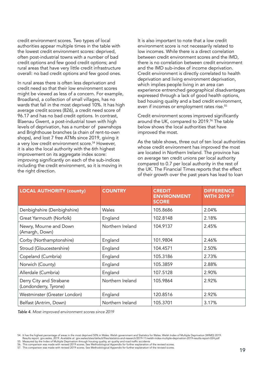credit environment scores. Two types of local authorities appear multiple times in the table with the lowest credit environment scores: deprived, often post-industrial towns with a number of bad credit options and few good credit options; and rural areas that have very little credit infrastructure overall: no bad credit options and few good ones.

In rural areas there is often less deprivation and credit need so that their low environment scores might be viewed as less of a concern. For example, Broadland, a collection of small villages, has no wards that fall in the most deprived 10%. It has high average credit scores (826), a credit need score of 96.17 and has no bad credit options. In contrast, Blaenau Gwent, a post-industrial town with high levels of deprivation, has a number of pawnshops and Brighthouse branches (a chain of rent-to-own shops), and lost 7 free ATMs since 2019, giving it a very low credit environment score.<sup>54</sup> However, it is also the local authority with the 6th highest improvement on its aggregate index score: improving significantly on each of the sub-indices including the credit environment, so it is moving in the right direction.

It is also important to note that a low credit environment score is not necessarily related to low incomes. While there is a direct correlation between credit environment scores and the IMD, there is no correlation between credit environment and the IMD sub-index of income deprivation. Credit environment is directly correlated to health deprivation and living environment deprivation, which implies people living in an area can experience entrenched geographical disadvantages expressed through a lack of good health options, bad housing quality and a bad credit environment, even if incomes or employment rates rise.<sup>55</sup>

Credit environment scores improved significantly around the UK, compared to 2019.<sup>56</sup> The table below shows the local authorities that have improved the most.

As the table shows, three out of ten local authorities whose credit environment has improved the most are located in Northern Ireland. The province has on average ten credit unions per local authority compared to 0.7 per local authority in the rest of the UK. The Financial Times reports that the effect of their growth over the past years has lead to loan

| <b>LOCAL AUTHORITY (county)</b>                  | <b>COUNTRY</b>   | <b>CREDIT</b><br><b>ENVIRONMENT</b><br><b>SCORE</b> | <b>DIFFERENCE</b><br><b>WITH 2019 57</b> |
|--------------------------------------------------|------------------|-----------------------------------------------------|------------------------------------------|
| Denbighshire (Denbighshire)                      | Wales            | 105.8686                                            | 2.04%                                    |
| Great Yarmouth (Norfolk)                         | England          | 102.8148                                            | 2.18%                                    |
| Newry, Mourne and Down<br>(Amargh, Down)         | Northern Ireland | 104.9137                                            | 2.45%                                    |
| Corby (Northamptonshire)                         | England          | 101.9804                                            | 2.46%                                    |
| Stroud (Gloucestershire)                         | England          | 104.4571                                            | 2.50%                                    |
| Copeland (Cumbria)                               | England          | 105.3186                                            | 2.73%                                    |
| Norwich (County)                                 | England          | 105.3859                                            | 2.88%                                    |
| Allerdale (Cumbria)                              | England          | 107.5128                                            | 2.90%                                    |
| Derry City and Strabane<br>(Londonderry, Tyrone) | Northern Ireland | 105.9864                                            | 2.92%                                    |
| Westminster (Greater London)                     | England          | 120.8516                                            | 2.92%                                    |
| Belfast (Antrim, Down)                           | Northern Ireland | 105.3701                                            | 3.17%                                    |

*Table 4. Most improved environment scores since 2019* 

<sup>54.</sup> It has the highest percentage of areas in the most deprived 50% in Wales. Welsh government and Statistics for Wales. Welsh Index of Multiple Deprivation (WIMD) 2019.

Results report. gov.wales, 2019. Available at gov.wales/sites/default/files/statistics-and-research/2019-11/welsh-index-multiple-deprivation-2019-results-report-024.pdf (55. Measured by the Index of Multiple Deprivation

<sup>56.</sup> This comparison was made with revised 2019 scores. See Methodological Appendix for further explanation of the revised scores.<br>57. This comparison was made with revised 2019 scores. See Methodological Appendix for furth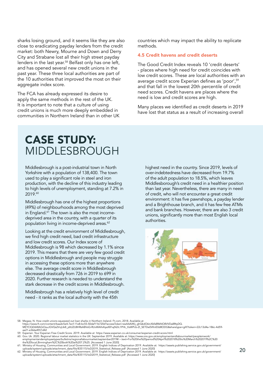sharks losing ground, and it seems like they are also close to eradicating payday lenders from the credit market: both Newry, Mourne and Down and Derry City and Strabane lost all their high street payday lenders in the last year.<sup>58</sup> Belfast only has one left, and has opened several new credit unions in the past year. These three local authorities are part of the 10 authorities that improved the most on their aggregate index score.

The FCA has already expressed its desire to apply the same methods in the rest of the UK. It is important to note that a culture of using credit unions is much more deeply embedded in communities in Northern Ireland than in other UK countries which may impact the ability to replicate methods.

#### 4.5 Credit havens and credit deserts

The Good Credit Index reveals 10 'credit deserts' - places where high need for credit coincides with low credit scores. These are local authorities with an average credit score Experian defines as 'poor', 59 and that fall in the lowest 20th percentile of credit need scores. Credit havens are places where the need is low and credit scores are high.

Many places we identified as credit deserts in 2019 have lost that status as a result of increasing overall

### CASE STUDY: MIDDLESBROUGH

Middlesbrough is a post-industrial town in North Yorkshire with a population of 138,400. The town used to play a significant role in steel and iron production, with the decline of this industry leading to high levels of unemployment, standing at 7.2% in 2019.60

Middlesbrough has one of the highest proportions (49%) of neighbourhoods among the most deprived in England.<sup>61</sup> The town is also the most incomedeprived area in the country, with a quarter of its population living in income-deprived areas.<sup>62</sup>

Looking at the credit environment of Middlesbrough, we find high credit need, bad credit infrastructure and low credit scores. Our Index score of Middlesbrough is 98 which decreased by 1.1% since 2019. This means that there are very few good credit options in Middlesbrough and people may struggle in accessing these options more than anywhere else. The average credit score in Middlesbrough decreased drastically from 726 in 2019 to 699 in 2020. Further research is needed to understand the stark decrease in the credit scores in Middlesbrough.

Middlesbrough has a relatively high level of credit need - it ranks as the local authority with the 45th

highest need in the country. Since 2019, levels of over-indebtedness have decreased from 19.7% of the adult population to 18.5%, which leaves Middlesborough's credit need in a healthier position than last year. Nevertheless, there are many in need of credit, who will not encounter a great credit environment: it has five pawnshops, a payday lender and a Brighthouse branch, and it has few free ATMs and bank branches. However, there are also 3 credit unions, significantly more than most English local authorities.



<sup>58.</sup> Megaw, N. How credit unions squeezed out loan sharks in Northern Ireland. Ft.com, 2018. Available at

60. Gov. Uk. 2020. Regional labour market statistics in the UK: September 2019. Available at: https://www.ons.gov.uk/employmentandlabourmarket/peopleinwork/<br>employmentandemployeetypes/bulletins/regional1bourmarket/septembe

https://www.ft.com/content/baadc5e4-7ecf-11e8-bc55-50daf11b720d?accessToken=zwAAAXKj\_ghQkdO6rcXkfs8R6NO8VVDa8RtyDQ.<br>MEYCIQD6WAGiOxuJGVQs2VvjLtk8\_jdtUZU8HRzABVsQ-RUvWAIhAIyaX81ajN2iL1PHL\_KsWPcb-ZI\_SETDe0VKnE0d8ODG&sharetype aa21-e366a4551d42

<sup>59.</sup> Experian. Your Experian Free Credit Score. 2019. Available at https://www.experian.co.uk/consumer/experian-credit-score.html

<sup>61.</sup> Ministry of Housing, Communities and Local Government. 2019. English Indices of Deprivation 2019. Available at: https://assets.publishing.service.gov.uk/government/<br>uploads/system/uploads/attachment\_data/file/835115/l

uploads/system/uploads/attachment\_data/file/835115/IoD2019\_Statistical\_Release.pdf [Accessed 1 June 2020]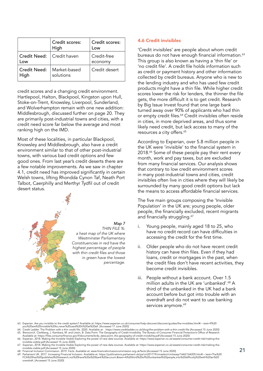|                                    | Credit scores:<br>High    | Credit scores:<br>Low  |
|------------------------------------|---------------------------|------------------------|
| Credit Need:   Credit haven<br>LOW |                           | Credit-free<br>economy |
| <b>Credit Need:</b><br>High        | Market-based<br>solutions | Credit desert          |

credit scores and a changing credit environment. Hartlepool, Halton, Blackpool, Kingston upon Hull, Stoke-on-Trent, Knowsley, Liverpool, Sunderland, and Wolverhampton remain with one new addition: Middlesbrough, discussed further on page 20. They are primarily post-industrial towns and cities, with a credit need score far below the average and most ranking high on the IMD.

Most of these localities, in particular Blackpool, Knowsley and Middlesbrough, also have a credit environment similar to that of other post-industrial towns, with various bad credit options and few good ones. From last year's credit deserts there are a few notable improvements. As we saw in chapter 4.1, credit need has improved significantly in certain Welsh towns, lifting Rhondda Cynon Taf, Neath Port Talbot, Caerphilly and Merthyr Tydfil out of credit desert status.



#### 4.6 Credit invisibles

'Credit invisibles' are people about whom credit bureaus do not have enough financial information.<sup>63</sup> This group is also known as having a 'thin file' or 'no credit file'. A credit file holds information such as credit or payment history and other information collected by credit bureaus. Anyone who is new to the lending industry and who has used few credit products might have a thin file. While higher credit scores lower the risk for lenders, the thinner the file gets, the more difficult it is to get credit. Research by Big Issue Invest found that one large bank turned away over 90% of applicants who had thin or empty credit files.<sup>64</sup> Credit invisibles often reside in cities, in more deprived areas, and thus some likely need credit, but lack access to many of the resources a city offers.<sup>65</sup>

According to Experian, over 5.8 million people in the UK were 'invisible' to the financial system in 2018.<sup>66</sup> Some of these people pay their rent every month, work and pay taxes, but are excluded from many financial services. Our analysis shows that contrary to low credit environment scores in many post-industrial towns and cities, credit invisibles often live in cities where they will likely be surrounded by many good credit options but lack the means to access affordable financial services.

The five main groups composing the 'Invisible Population' in the UK are; young people, older people, the financially excluded, recent migrants and financially struggling.<sup>67</sup>

- i. Young people, mainly aged 18 to 25, who have no credit record can have difficulties in accessing the credit for the first time.
- ii. Older people who do not have recent credit history can have thin files. Even if they had loans, credit or mortgages in the past, when the credit files don't have recent activities, they become credit invisibles.
- iii. People without a bank account. Over 1.5 million adults in the UK are 'unbanked'.<sup>68</sup> A third of the unbanked in the UK had a bank account before but got into trouble with an overdraft and do not want to use banking services anymore.<sup>69</sup>

<sup>63.</sup> Experian. Are you invisible to the credit system? Available at: https://www.experian.co.uk/consumer/help-discover/discover/guides/the-invisibles.html#:∼:text=If%20<br>you%20are%20invisible%20to,never%20used%20it%20at%20a

<sup>64.</sup> Credit Ladder. The Problem with a thin credit file. 2020. Available at: https://www.creditladder.co.uk/blog/the-problem-with-a-thin-credit-file [Accessed 15 June 2020]<br>65. Brevoort,K. Clarkberg, J. Kambara, M. and Litw

<sup>66.</sup> Experian, 2018. Making the Invisible Visible Exploring the power of new data sources. Available at: https://www.experian.co.uk/assets/consumer-credit-risk/making-theinvisible-visible.pdf [Accessed 15 June 2020]<br>67. Experian, 2018. Making the Invisible Visible Exploring the power of new data sources. Available at: https://www.experian.co.uk/assets/consumer-credit-risk/making-the-

invisible-visible.pdf [Accessed 15 June 2020] 68. Financial Inclusion Commission. 2019. Facts. Available at: www.financialinclusioncommission.org.uk/facts [Accessed 15 June 2020]

<sup>69.</sup> Parliament UK. 2017. Increasing Financial Inclusion. Available at. https://publications.parliament.uk/pa/cm201719/cmselect/cmtreasy/1642/164205.htm#:~:text=The%20 FCA%20has%20published%20research,not%20have%20a%20bank%20account.&text=A%20third%20of%20unbanked%20people,into%20difficulty%20with%20an%20 overdraft. [Accessed 15 June 2020]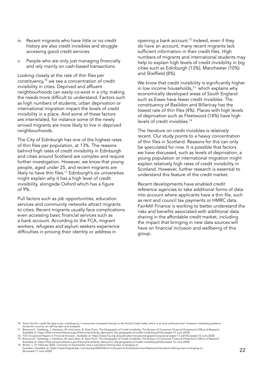- iv. Recent migrants who have little or no credit history are also credit invisibles and struggle accessing good credit services.
- v. People who are only just managing financially and rely mainly on cash-based transactions.

Looking closely at the rate of thin files per constituency, $70$  we see a concentration of credit invisibility in cities. Deprived and affluent neighbourhoods can easily co-exist in a city, making the needs more difficult to understand. Factors such as high numbers of students, urban deprivation or international migration impact the levels of credit invisibility in a place. And some of these factors are interrelated, for instance some of the newly arrived migrants are more likely to live in deprived neighbourhoods.

The City of Edinburgh has one of the highest rates of thin files per population, at 13%. The reasons behind high rates of credit invisibility in Edinburgh and cities around Scotland are complex and require further investigation. However, we know that young people, aged under 25, and recent migrants are likely to have thin files.<sup>71</sup> Edinburgh's six universities might explain why it has a high level of credit invisibility, alongside Oxford which has a figure of 9%.

Pull factors such as job opportunities, education services and community networks attract migrants to cities. Recent migrants usually face complications even accessing basic financial services such as a bank account. According to the FCA, migrant workers, refugees and asylum seekers experience difficulties in proving their identity or address in

opening a bank account.72 Indeed, even if they do have an account, many recent migrants lack sufficient information in their credit files. High numbers of migrants and international students may help to explain high levels of credit invisibility in big cities such as Edinburgh (13%), Manchester (10%) and Sheffield (8%).

We know that credit invisibility is significantly higher in low income households, $73$  which explains why economically developed areas of South England such as Essex have fewer credit invisibles. The constituency of Basildon and Billericay has the lowest rate of thin files (4%). Places with high levels of deprivation such as Fleetwood (14%) have high levels of credit invisibles.74

The literature on credit invisibles is relatively recent. Our study points to a heavy concentration of thin files in Scotland. Reasons for this can only be speculated for now. It is possible that factors we have discussed, such as levels of deprivation, a young population or international migration might explain relatively high rates of credit invisibility in Scotland. However, further research is essential to understand this feature of the credit market.

Recent developments have enabled credit reference agencies to take additional forms of data into account where applicants have a thin file, such as rent and council tax payments or HMRC data. Fair4All Finance is working to better understand the risks and benefits associated with additional data sharing in the affordable credit market, including the impact that bringing in new data sources will have on financial inclusion and wellbeing of this group.

- 70. Since the thin credit file data is per constituency, it cannot be compared directly to the Good Credit Index, which is at local authority level. However, interesting patterns across the country can still be seen and an
- 71. Brevoort,K. Clarkberg, J. Kambara, M. and Litwin, B. Data Point: The Geography of Credit Invisibility. The Bureau of Consumer Financial Protection's Office of Research.<br>Available at: https://flies.consumerfinance.gov/f
- 
- 
- Guardian. Available at: https://www.theguardian.com/society/2020/feb/21/cod-wars-to-food-banks-how-fleetwood-lancashire-fishing-town-is-hanging-on **22 mand and the community of the community of the community of the communi**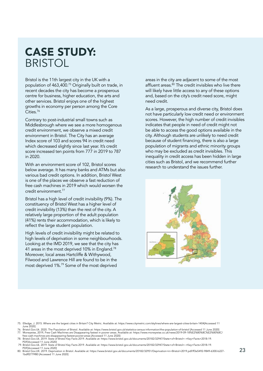### CASE STUDY: BRISTOL

Bristol is the 11th largest city in the UK with a population of 463,400.75 Originally built on trade, in recent decades the city has become a prosperous centre for business, higher education, the arts and other services. Bristol enjoys one of the highest growths in economy per person among the Core Cities.<sup>76</sup>

Contrary to post-industrial small towns such as Middlesbrough where we see a more homogenous credit environment, we observe a mixed credit environment in Bristol. The City has an average Index score of 103 and scores 94 in credit need which decreased slightly since last year. It's credit score increased ten points from 777 in 2019 to 787 in 2020.

With an environment score of 102, Bristol scores below average. It has many banks and ATMs but also various bad credit options. In addition, Bristol West is one of the places we observe a fast reduction of free cash machines in 2019 which would worsen the credit environment<sup>77</sup>

Bristol has a high level of credit invisibility (9%). The constituency of Bristol West has a higher level of credit invisibility (13%) than the rest of the city. A relatively large proportion of the adult population (41%) rents their accommodation, which is likely to reflect the large student population.

High levels of credit invisibility might be related to high levels of deprivation in some neighbourhoods. Looking at the IMD 2019, we see that the city has 41 areas in the most deprived 10% in England.<sup>78</sup> Moreover, local areas Hartcliffe & Withywood, Filwood and Lawrence Hill are found to be in the most deprived 1%.79 Some of the most deprived

areas in the city are adjacent to some of the most affluent areas.<sup>80</sup> The credit invisibles who live there will likely have little access to any of these options and, based on the city's credit need score, might need credit.

As a large, prosperous and diverse city, Bristol does not have particularly low credit need or environment scores. However, the high number of credit invisibles indicates that people in need of credit might not be able to access the good options available in the city. Although students are unlikely to need credit because of student financing, there is also a large population of migrants and ethnic minority groups who may be excluded as credit invisibles. This inequality in credit access has been hidden in large cities such as Bristol, and we recommend further research to understand the issues further.



<sup>75.</sup> Elledge, J. 2015. Where are the largest cities in Britain? City Metric. Available at: https://www.citymetric.com/skylines/where-are-largest-cities-britain-1404[Accessed 11 June 2020]

<sup>76.</sup> Bristol.Gov.Uk. 2020. The Population of Bristol. Available at: https://www.bristol.gov.uk/statistics-census-information/the-population-of-bristol [Accessed 11 June 2020]<br>77. Moneywise, 2019, Free Cash Machines are Disa

PDF[Accessed 11 June 2020]

 <sup>79.</sup> Bristol.Gov.Uk. 2019. State of Bristol Key Facts 2019. Available at: https://www.bristol.gov.uk/documents/20182/32947/State+of+Bristol+-+Key+Facts+2018-19.

PDF[Accessed 11 June 2020]<br>80. Bristol Gov.UK. 2019. Deprivation in Bristol. Available at: https://www.bristol.gov.uk/documents/20182/32951/Deprivation+in+Bristol+2019.pdf/ff3e5492-9849-6300-b227-<br>1bdff2779f80 [Accessed 11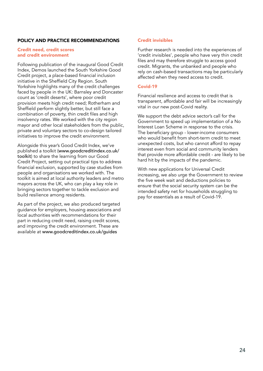#### POLICY AND PRACTICE RECOMMENDATIONS

#### Credit need, credit scores and credit environment

Following publication of the inaugural Good Credit Index, Demos launched the South Yorkshire Good Credit project, a place-based financial inclusion initiative in the Sheffield City Region. South Yorkshire highlights many of the credit challenges faced by people in the UK: Barnsley and Doncaster count as 'credit deserts', where poor credit provision meets high credit need; Rotherham and Sheffield perform slightly better, but still face a combination of poverty, thin credit files and high insolvency rates. We worked with the city region mayor and other local stakeholders from the public, private and voluntary sectors to co-design tailored initiatives to improve the credit environment.

Alongside this year's Good Credit Index, we've published a toolkit (www.goodcreditindex.co.uk/ toolkit) to share the learning from our Good Credit Project, setting out practical tips to address financial exclusion, supported by case studies from people and organisations we worked with. The toolkit is aimed at local authority leaders and metro mayors across the UK, who can play a key role in bringing sectors together to tackle exclusion and build resilience among residents.

As part of the project, we also produced targeted guidance for employers, housing associations and local authorities with recommendations for their part in reducing credit need, raising credit scores, and improving the credit environment. These are available at www.goodcreditindex.co.uk/guides

#### Credit invisibles

Further research is needed into the experiences of 'credit invisibles', people who have very thin credit files and may therefore struggle to access good credit. Migrants, the unbanked and people who rely on cash-based transactions may be particularly affected when they need access to credit.

#### Covid-19

Financial resilience and access to credit that is transparent, affordable and fair will be increasingly vital in our new post-Covid reality.

We support the debt advice sector's call for the Government to speed up implementation of a No Interest Loan Scheme in response to the crisis. The beneficiary group - lower-income consumers who would benefit from short-term credit to meet unexpected costs, but who cannot afford to repay interest even from social and community lenders that provide more affordable credit - are likely to be hard hit by the impacts of the pandemic.

With new applications for Universal Credit increasing, we also urge the Government to review the five week wait and deductions policies to ensure that the social security system can be the intended safety net for households struggling to pay for essentials as a result of Covid-19.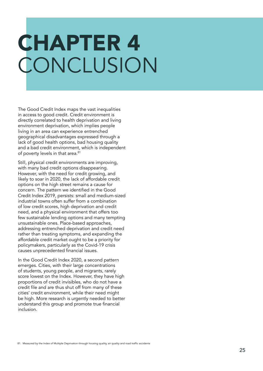# CHAPTER 4 **CONCLUSION**

The Good Credit Index maps the vast inequalities in access to good credit. Credit environment is directly correlated to health deprivation and living environment deprivation, which implies people living in an area can experience entrenched geographical disadvantages expressed through a lack of good health options, bad housing quality and a bad credit environment, which is independent of poverty levels in that area.<sup>81</sup>

Still, physical credit environments are improving, with many bad credit options disappearing. However, with the need for credit growing, and likely to soar in 2020, the lack of affordable credit options on the high street remains a cause for concern. The pattern we identified in the Good Credit Index 2019, persists: small and medium-sized industrial towns often suffer from a combination of low credit scores, high deprivation and credit need, and a physical environment that offers too few sustainable lending options and many tempting unsustainable ones. Place-based approaches, addressing entrenched deprivation and credit need rather than treating symptoms, and expanding the affordable credit market ought to be a priority for policymakers, particularly as the Covid-19 crisis causes unprecedented financial issues.

In the Good Credit Index 2020, a second pattern emerges. Cities, with their large concentrations of students, young people, and migrants, rarely score lowest on the Index. However, they have high proportions of credit invisibles, who do not have a credit file and are thus shut off from many of these cities' credit environment, while their need might be high. More research is urgently needed to better understand this group and promote true financial inclusion.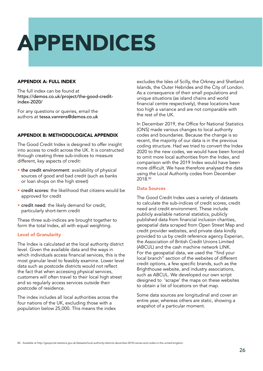

#### APPENDIX A: FULL INDEX

The full index can be found at https://demos.co.uk/project/the-good-creditindex-2020/

For any questions or queries, email the authors at tessa.vanrens@demos.co.uk

#### APPENDIX B: METHODOLOGICAL APPENDIX

The Good Credit Index is designed to offer insight into access to credit across the UK. It is constructed through creating three sub-indices to measure different, key aspects of credit:

- the credit environment: availability of physical sources of good and bad credit (such as banks or loan shops on the high street)
- credit scores: the likelihood that citizens would be approved for credit
- credit need: the likely demand for credit, particularly short-term credit

These three sub-indices are brought together to form the total Index, all with equal weighting.

#### Level of Granularity

The Index is calculated at the local authority district level. Given the available data and the ways in which individuals access financial services, this is the most granular level to feasibly examine. Lower level data such as postcode districts would not reflect the fact that when accessing physical services, customers will often travel to their local high street and so regularly access services outside their postcode of residence.

The index includes all local authorities across the four nations of the UK, excluding those with a population below 25,000. This means the index

excludes the Isles of Scilly, the Orkney and Shetland Islands, the Outer Hebrides and the City of London. As a consequence of their small populations and unique situations (as island chains and world financial centre respectively), these locations have too high a variance and are not comparable with the rest of the UK.

In December 2019, the Office for National Statistics (ONS) made various changes to local authority codes and boundaries. Because the change is so recent, the majority of our data is in the previous coding structure. Had we tried to convert the Index 2020 to the new codes, we would have been forced to omit more local authorities from the Index, and comparison with the 2019 Index would have been more difficult. We have therefore analysed the data using the Local Authority codes from December 2018.82

#### Data Sources

The Good Credit Index uses a variety of datasets to calculate the sub-indices of credit scores, credit need and credit environment. These include publicly available national statistics, publicly published data from financial inclusion charities, geospatial data scraped from Open Street Map and credit provider websites, and private data kindly provided to us by credit reference agency Experian, the Association of British Credit Unions Limited (ABCUL) and the cash machine network LINK. For the geospatial data, we used the "find your local branch" section of the websites of different credit options, a few specific brands, such as the Brighthouse website, and industry associations, such as ABCUL. We developed our own script designed to 'scrape' the maps on these websites to obtain a list of locations on that map.

Some data sources are longitudinal and cover an entire year, whereas others are static, showing a snapshot of a particular moment.

82. Available at http://geoportal.statistics.gov.uk/datasets/local-authority-districts-december-2018-names-and-codes-in-the-united-kingdom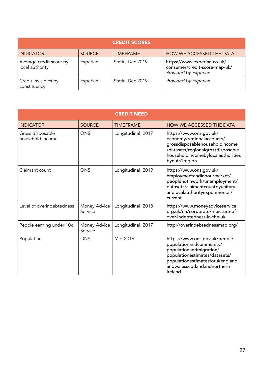| <b>CREDIT SCORES</b>                       |               |                  |                                                                                      |  |  |
|--------------------------------------------|---------------|------------------|--------------------------------------------------------------------------------------|--|--|
| <b>INDICATOR</b>                           | <b>SOURCE</b> | <b>TIMFFRAMF</b> | HOW WE ACCESSED THE DATA                                                             |  |  |
| Average credit score by<br>local authority | Experian      | Static, Dec 2019 | https://www.experian.co.uk/<br>consumer/credit-score-map-uk/<br>Provided by Experian |  |  |
| Credit invisibles by<br>constituency       | Experian      | Static, Dec 2019 | Provided by Experian                                                                 |  |  |

| <b>CREDIT NEED</b>                   |                         |                    |                                                                                                                                                                                                   |  |  |  |
|--------------------------------------|-------------------------|--------------------|---------------------------------------------------------------------------------------------------------------------------------------------------------------------------------------------------|--|--|--|
| <b>INDICATOR</b>                     | <b>SOURCE</b>           | <b>TIMEFRAME</b>   | HOW WE ACCESSED THE DATA                                                                                                                                                                          |  |  |  |
| Gross disposable<br>household income | <b>ONS</b>              | Longitudinal, 2017 | https://www.ons.gov.uk/<br>economy/regionalaccounts/<br>grossdisposablehouseholdincome<br>/datasets/regionalgrossdisposable<br>householdincomebylocalauthorities<br>bynuts1region                 |  |  |  |
| Claimant count                       | <b>ONS</b>              | Longitudinal, 2019 | https://www.ons.gov.uk/<br>employmentandlabourmarket/<br>peoplenotinwork/unemployment/<br>datasets/claimantcountbyunitary<br>andlocalauthorityexperimental/<br>current                            |  |  |  |
| Level of overindebtedness            | Money Advice<br>Service | Longitudinal, 2018 | https://www.moneyadviceservice.<br>org.uk/en/corporate/a-picture-of-<br>over-indebtedness-in-the-uk                                                                                               |  |  |  |
| People earning under 10k             | Money Advice<br>Service | Longitudinal, 2017 | http://overindebtednessmap.org/                                                                                                                                                                   |  |  |  |
| Population                           | <b>ONS</b>              | Mid-2019           | https://www.ons.gov.uk/people<br>populationandcommunity/<br>populationandmigration/<br>populationestimates/datasets/<br>populationestimatesforukengland<br>andwalesscotlandandnorthern<br>ireland |  |  |  |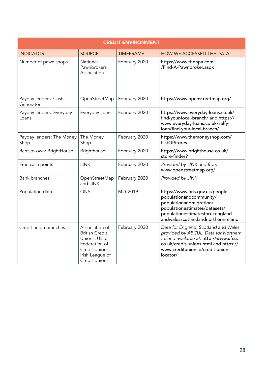| <b>CREDIT ENVIRONMENT</b>         |                                                                                                                                         |                  |                                                                                                                                                                                                                  |  |  |  |
|-----------------------------------|-----------------------------------------------------------------------------------------------------------------------------------------|------------------|------------------------------------------------------------------------------------------------------------------------------------------------------------------------------------------------------------------|--|--|--|
| <b>INDICATOR</b>                  | <b>SOURCE</b>                                                                                                                           | <b>TIMEFRAME</b> | HOW WE ACCESSED THE DATA                                                                                                                                                                                         |  |  |  |
| Number of pawn shops              | National<br>Pawnbrokers<br>Association                                                                                                  | February 2020    | https://www.thenpa.com<br>/Find-A-Pawnbroker.aspx                                                                                                                                                                |  |  |  |
| Payday lenders: Cash<br>Generator | OpenStreetMap                                                                                                                           | February 2020    | https://www.openstreetmap.org/                                                                                                                                                                                   |  |  |  |
| Payday lenders: Everyday<br>Loans | Everyday Loans                                                                                                                          | February 2020    | https://www.everyday-loans.co.uk/<br>find-your-local-branch/ and https://<br>www.everyday-loans.co.uk/selfy-<br>loan/find-your-local-branch/                                                                     |  |  |  |
| Payday lenders: The Money<br>Shop | The Money<br>Shop                                                                                                                       | February 2020    | https://www.themoneyshop.com/<br>ListOfStores                                                                                                                                                                    |  |  |  |
| Rent-to-own: BrightHouse          | Brighthouse                                                                                                                             | February 2020    | https://www.brighthouse.co.uk/<br>store-finder?                                                                                                                                                                  |  |  |  |
| Free cash points                  | <b>LINK</b>                                                                                                                             | February 2020    | Provided by LINK and from<br>www.openstreetmap.org/                                                                                                                                                              |  |  |  |
| <b>Bank branches</b>              | OpenStreetMap<br>and LINK                                                                                                               | February 2020    | Provided by LINK                                                                                                                                                                                                 |  |  |  |
| Population data                   | <b>ONS</b>                                                                                                                              | Mid-2019         | https://www.ons.gov.uk/people<br>populationandcommunity/<br>populationandmigration/<br>populationestimates/datasets/<br>populationestimatesforukengland<br>andwalesscotlandandnorthernireland                    |  |  |  |
| Credit union branches             | Association of<br><b>British Credit</b><br>Unions, Ulster<br>Federation of<br>Credit Unions,<br>Irish League of<br><b>Credit Unions</b> | February 2020    | Data for England, Scotland and Wales<br>provided by ABCUL. Data for Northern<br>Ireland available at: http://www.ufcu.<br>co.uk/credit-unions.html and https://<br>www.creditunion.ie/credit-union-<br>locator/. |  |  |  |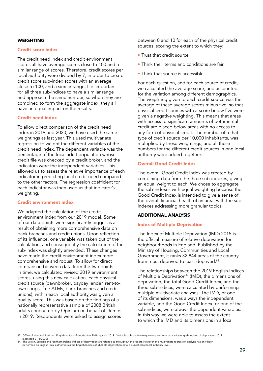#### WEIGHTING

#### Credit score index

The credit need index and credit environment scores all have average scores close to 100 and a similar range of scores. Therefore, credit scores per local authority were divided by 7, in order to create credit score sub-index scores with an average close to 100, and a similar range. It is important for all three sub-indices to have a similar range and approach the same number, so when they are combined to form the aggregate index, they all have an equal impact on the results.

#### Credit need index

To allow direct comparison of the credit need index in 2019 and 2020, we have used the same weightings as last year. This used multivariate regression to weight the different variables of the credit need index. The dependent variable was the percentage of the local adult population whose credit file was checked by a credit broker, and the indicators were the independent variables. This allowed us to assess the relative importance of each indicator in predicting local credit need compared to the other factors. The regression coefficient for each indicator was then used as that indicator's weighting.

#### Credit environment index

We adapted the calculation of the credit environment index from our 2019 model. Some of our data points were significantly bigger as a result of obtaining more comprehensive data on bank branches and credit unions. Upon reflection of its influence, one variable was taken out of the calculation, and consequently the calculation of the sub-index was slightly amended. These changes have made the credit environment index more comprehensive and robust. To allow for direct comparison between data from the two points in time, we calculated revised 2019 environment scores, using this new calculation. Each physical credit source (pawnbroker, payday lender, rent-toown shops, free ATMs, bank branches and credit unions), within each local authority,was given a quality score. This was based on the findings of a nationally representative sample of 2008 British adults conducted by Opinium on behalf of Demos in 2019. Respondents were asked to assign scores

between 0 and 10 for each of the physical credit sources, scoring the extent to which they:

- Trust that credit source
- Think their terms and conditions are fair
- Think that source is accessible

For each question, and for each source of credit, we calculated the average score, and accounted for the variation among different demographics. The weighting given to each credit source was the average of these average scores minus five, so that physical credit sources with a score below five were given a negative weighting. This means that areas with access to significant amounts of detrimental credit are placed below areas with no access to any form of physical credit. The number of a that type of credit source per 10,000 inhabitants, was multiplied by these weightings, and all these numbers for the different credit sources in one local authority were added together.

#### Overall Good Credit Index

The overall Good Credit Index was created by combining data from the three sub-indexes, giving an equal weight to each. We chose to aggregate the sub-indexes with equal weighting because the Good Credit Index is intended to give a sense of the overall financial health of an area, with the subindexes addressing more granular topics.

#### ADDITIONAL ANALYSIS

#### Index of Multiple Deprivation

The Index of Multiple Deprivation (IMD) 2015 is the official measure of relative deprivation for neighbourhoods in England. Published by the Ministry of Housing, Communities and Local Government, it ranks 32,844 areas of the country from most deprived to least deprived.<sup>83</sup>

The relationships between the 2019 English Indices of Multiple Deprivation<sup>84</sup> (IMD), the dimensions of deprivation, the total Good Credit Index, and the three sub-indices, were calculated by performing multiple multivariate analyses. The IMD, or one of its dimensions, was always the independent variable, and the Good Credit Index, or one of the sub-indices, were always the dependent variables. In this way we were able to assess the extent to which the IMD and its dimensions in a local

<sup>83.</sup> Office of National Statistics. English indices of deprivation 2019, gov.uk, 2019. Available at https://www.gov.uk/government/statistics/english-indices-of-deprivation-2019 [accessed 21/5/2020]

<sup>84.</sup> The Welsh, Scottish and Northern Ireland indices of deprivation are referred to throughout the report. However, the multivariate regression analysis has only been<br>performed on English local authorities as the English I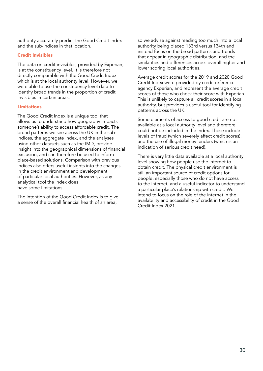authority accurately predict the Good Credit Index and the sub-indices in that location.

#### Credit Invisibles

The data on credit invisibles, provided by Experian, is at the constituency level. It is therefore not directly comparable with the Good Credit Index which is at the local authority level. However, we were able to use the constituency level data to identify broad trends in the proportion of credit invisibles in certain areas.

#### Limitations

The Good Credit Index is a unique tool that allows us to understand how geography impacts someone's ability to access affordable credit. The broad patterns we see across the UK in the subindices, the aggregate Index, and the analyses using other datasets such as the IMD, provide insight into the geographical dimensions of financial exclusion, and can therefore be used to inform place-based solutions. Comparison with previous indices also offers useful insights into the changes in the credit environment and development of particular local authorities. However, as any analytical tool the Index does have some limitations.

The intention of the Good Credit Index is to give a sense of the overall financial health of an area,

so we advise against reading too much into a local authority being placed 133rd versus 134th and instead focus on the broad patterns and trends that appear in geographic distribution, and the similarities and differences across overall higher and lower scoring local authorities.

Average credit scores for the 2019 and 2020 Good Credit Index were provided by credit reference agency Experian, and represent the average credit scores of those who check their score with Experian. This is unlikely to capture all credit scores in a local authority, but provides a useful tool for identifying patterns across the UK.

Some elements of access to good credit are not available at a local authority level and therefore could not be included in the Index. These include levels of fraud (which severely affect credit scores), and the use of illegal money lenders (which is an indication of serious credit need).

There is very little data available at a local authority level showing how people use the internet to obtain credit. The physical credit environment is still an important source of credit options for people, especially those who do not have access to the internet, and a useful indicator to understand a particular place's relationship with credit. We intend to focus on the role of the internet in the availability and accessibility of credit in the Good Credit Index 2021.